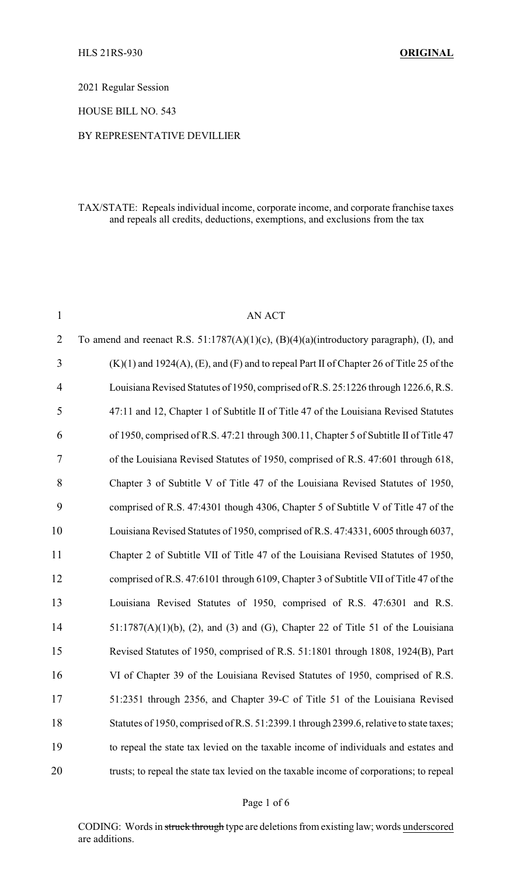2021 Regular Session

HOUSE BILL NO. 543

## BY REPRESENTATIVE DEVILLIER

## TAX/STATE: Repeals individual income, corporate income, and corporate franchise taxes and repeals all credits, deductions, exemptions, and exclusions from the tax

| $\mathbf{1}$   | <b>AN ACT</b>                                                                                      |
|----------------|----------------------------------------------------------------------------------------------------|
| $\overline{2}$ | To amend and reenact R.S. $51:1787(A)(1)(c)$ , $(B)(4)(a)(introductory paragraph)$ , (I), and      |
| 3              | $(K)(1)$ and 1924 $(A)$ , $(E)$ , and $(F)$ and to repeal Part II of Chapter 26 of Title 25 of the |
| 4              | Louisiana Revised Statutes of 1950, comprised of R.S. 25:1226 through 1226.6, R.S.                 |
| 5              | 47:11 and 12, Chapter 1 of Subtitle II of Title 47 of the Louisiana Revised Statutes               |
| 6              | of 1950, comprised of R.S. 47:21 through 300.11, Chapter 5 of Subtitle II of Title 47              |
| 7              | of the Louisiana Revised Statutes of 1950, comprised of R.S. 47:601 through 618,                   |
| 8              | Chapter 3 of Subtitle V of Title 47 of the Louisiana Revised Statutes of 1950,                     |
| 9              | comprised of R.S. 47:4301 though 4306, Chapter 5 of Subtitle V of Title 47 of the                  |
| 10             | Louisiana Revised Statutes of 1950, comprised of R.S. 47:4331, 6005 through 6037,                  |
| 11             | Chapter 2 of Subtitle VII of Title 47 of the Louisiana Revised Statutes of 1950,                   |
| 12             | comprised of R.S. 47:6101 through 6109, Chapter 3 of Subtitle VII of Title 47 of the               |
| 13             | Louisiana Revised Statutes of 1950, comprised of R.S. 47:6301 and R.S.                             |
| 14             | $51:1787(A)(1)(b)$ , (2), and (3) and (G), Chapter 22 of Title 51 of the Louisiana                 |
| 15             | Revised Statutes of 1950, comprised of R.S. 51:1801 through 1808, 1924(B), Part                    |
| 16             | VI of Chapter 39 of the Louisiana Revised Statutes of 1950, comprised of R.S.                      |
| 17             | 51:2351 through 2356, and Chapter 39-C of Title 51 of the Louisiana Revised                        |
| 18             | Statutes of 1950, comprised of R.S. 51:2399.1 through 2399.6, relative to state taxes;             |
| 19             | to repeal the state tax levied on the taxable income of individuals and estates and                |
| 20             | trusts; to repeal the state tax levied on the taxable income of corporations; to repeal            |

## Page 1 of 6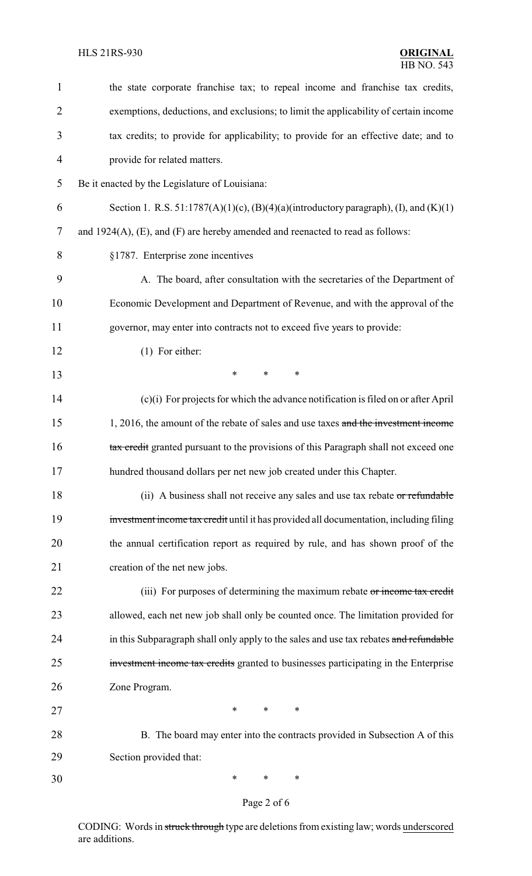| $\mathbf{1}$   | the state corporate franchise tax; to repeal income and franchise tax credits,                  |
|----------------|-------------------------------------------------------------------------------------------------|
| $\overline{2}$ | exemptions, deductions, and exclusions; to limit the applicability of certain income            |
| 3              | tax credits; to provide for applicability; to provide for an effective date; and to             |
| $\overline{4}$ | provide for related matters.                                                                    |
| 5              | Be it enacted by the Legislature of Louisiana:                                                  |
| 6              | Section 1. R.S. $51:1787(A)(1)(c)$ , $(B)(4)(a)(introductory paragraph)$ , $(I)$ , and $(K)(1)$ |
| 7              | and $1924(A)$ , (E), and (F) are hereby amended and reenacted to read as follows:               |
| 8              | §1787. Enterprise zone incentives                                                               |
| 9              | A. The board, after consultation with the secretaries of the Department of                      |
| 10             | Economic Development and Department of Revenue, and with the approval of the                    |
| 11             | governor, may enter into contracts not to exceed five years to provide:                         |
| 12             | $(1)$ For either:                                                                               |
| 13             | $\ast$<br>*<br>$\ast$                                                                           |
| 14             | $(c)(i)$ For projects for which the advance notification is filed on or after April             |
| 15             | 1, 2016, the amount of the rebate of sales and use taxes and the investment income              |
| 16             | tax credit granted pursuant to the provisions of this Paragraph shall not exceed one            |
| 17             | hundred thousand dollars per net new job created under this Chapter.                            |
| 18             | (ii) A business shall not receive any sales and use tax rebate or refundable                    |
| 19             | investment income tax credit until it has provided all documentation, including filing          |
| 20             | the annual certification report as required by rule, and has shown proof of the                 |
| 21             | creation of the net new jobs.                                                                   |
| 22             | (iii) For purposes of determining the maximum rebate or income tax credit                       |
| 23             | allowed, each net new job shall only be counted once. The limitation provided for               |
| 24             | in this Subparagraph shall only apply to the sales and use tax rebates and refundable           |
| 25             | investment income tax credits granted to businesses participating in the Enterprise             |
| 26             | Zone Program.                                                                                   |
| 27             | *<br>*<br>∗                                                                                     |
| 28             | B. The board may enter into the contracts provided in Subsection A of this                      |
| 29             | Section provided that:                                                                          |
| 30             | ∗<br>∗<br>∗                                                                                     |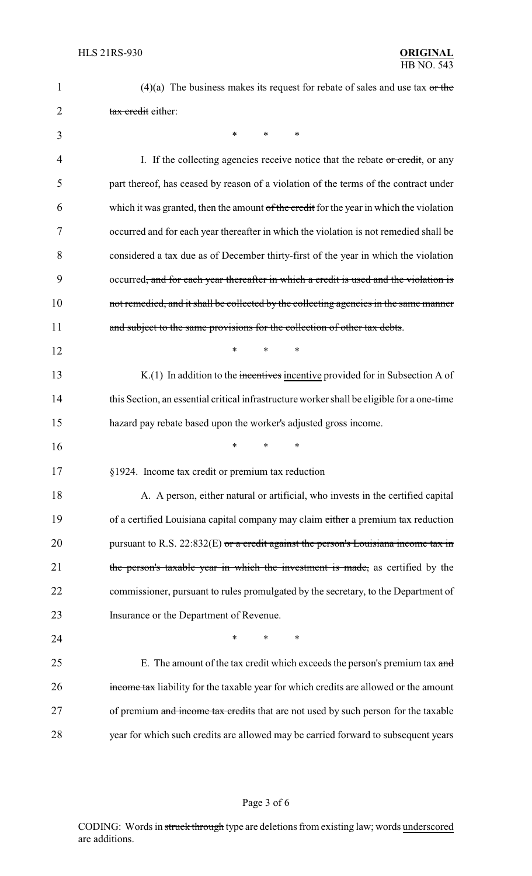| 1  | $(4)(a)$ The business makes its request for rebate of sales and use tax or the             |
|----|--------------------------------------------------------------------------------------------|
| 2  | tax credit either:                                                                         |
| 3  | *<br>$\ast$<br>*                                                                           |
| 4  | I. If the collecting agencies receive notice that the rebate $\sigma r$ credit, or any     |
| 5  | part thereof, has ceased by reason of a violation of the terms of the contract under       |
| 6  | which it was granted, then the amount of the credit for the year in which the violation    |
| 7  | occurred and for each year thereafter in which the violation is not remedied shall be      |
| 8  | considered a tax due as of December thirty-first of the year in which the violation        |
| 9  | occurred, and for each year thereafter in which a credit is used and the violation is      |
| 10 | not remedied, and it shall be collected by the collecting agencies in the same manner      |
| 11 | and subject to the same provisions for the collection of other tax debts.                  |
| 12 | $\ast$<br>*<br>$\ast$                                                                      |
| 13 | $K(1)$ In addition to the incentives incentive provided for in Subsection A of             |
| 14 | this Section, an essential critical infrastructure worker shall be eligible for a one-time |
| 15 | hazard pay rebate based upon the worker's adjusted gross income.                           |
| 16 | *<br>*                                                                                     |
| 17 | §1924. Income tax credit or premium tax reduction                                          |
| 18 | A. A person, either natural or artificial, who invests in the certified capital            |
| 19 | of a certified Louisiana capital company may claim either a premium tax reduction          |
| 20 | pursuant to R.S. $22:832(E)$ or a credit against the person's Louisiana income tax in      |
| 21 | the person's taxable year in which the investment is made, as certified by the             |
| 22 | commissioner, pursuant to rules promulgated by the secretary, to the Department of         |
| 23 | Insurance or the Department of Revenue.                                                    |
| 24 | ∗<br>*<br>*                                                                                |
| 25 | E. The amount of the tax credit which exceeds the person's premium tax and                 |
| 26 | income tax liability for the taxable year for which credits are allowed or the amount      |
| 27 | of premium and income tax credits that are not used by such person for the taxable         |
| 28 | year for which such credits are allowed may be carried forward to subsequent years         |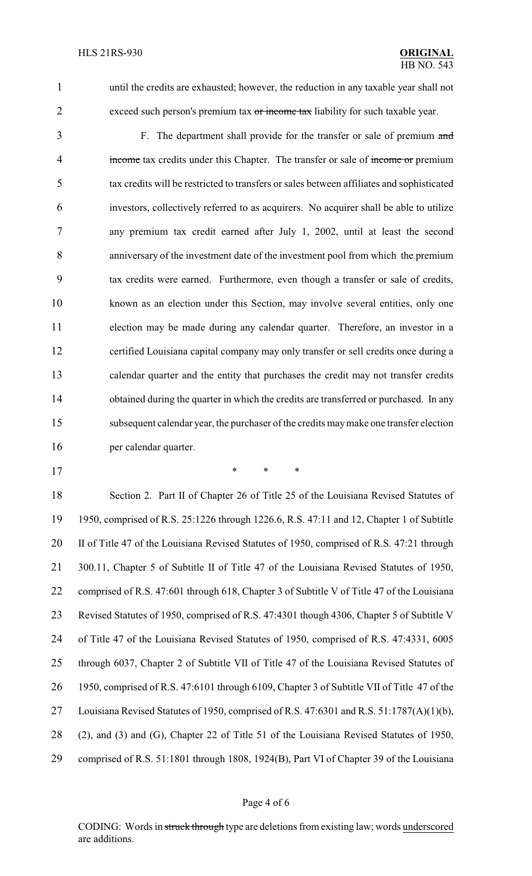- 
- 

 until the credits are exhausted; however, the reduction in any taxable year shall not 2 exceed such person's premium tax or income tax liability for such taxable year.

- 3 F. The department shall provide for the transfer or sale of premium and 4 income tax credits under this Chapter. The transfer or sale of income or premium tax credits will be restricted to transfers or sales between affiliates and sophisticated investors, collectively referred to as acquirers. No acquirer shall be able to utilize any premium tax credit earned after July 1, 2002, until at least the second anniversary of the investment date of the investment pool from which the premium tax credits were earned. Furthermore, even though a transfer or sale of credits, known as an election under this Section, may involve several entities, only one election may be made during any calendar quarter. Therefore, an investor in a certified Louisiana capital company may only transfer or sell credits once during a calendar quarter and the entity that purchases the credit may not transfer credits 14 obtained during the quarter in which the credits are transferred or purchased. In any subsequent calendar year, the purchaser of the credits maymake one transfer election per calendar quarter.
- 

\* \* \*

 Section 2. Part II of Chapter 26 of Title 25 of the Louisiana Revised Statutes of 1950, comprised of R.S. 25:1226 through 1226.6, R.S. 47:11 and 12, Chapter 1 of Subtitle 20 II of Title 47 of the Louisiana Revised Statutes of 1950, comprised of R.S. 47:21 through 300.11, Chapter 5 of Subtitle II of Title 47 of the Louisiana Revised Statutes of 1950, comprised of R.S. 47:601 through 618, Chapter 3 of Subtitle V of Title 47 of the Louisiana Revised Statutes of 1950, comprised of R.S. 47:4301 though 4306, Chapter 5 of Subtitle V of Title 47 of the Louisiana Revised Statutes of 1950, comprised of R.S. 47:4331, 6005 through 6037, Chapter 2 of Subtitle VII of Title 47 of the Louisiana Revised Statutes of 1950, comprised of R.S. 47:6101 through 6109, Chapter 3 of Subtitle VII of Title 47 of the Louisiana Revised Statutes of 1950, comprised of R.S. 47:6301 and R.S. 51:1787(A)(1)(b), (2), and (3) and (G), Chapter 22 of Title 51 of the Louisiana Revised Statutes of 1950, comprised of R.S. 51:1801 through 1808, 1924(B), Part VI of Chapter 39 of the Louisiana

#### Page 4 of 6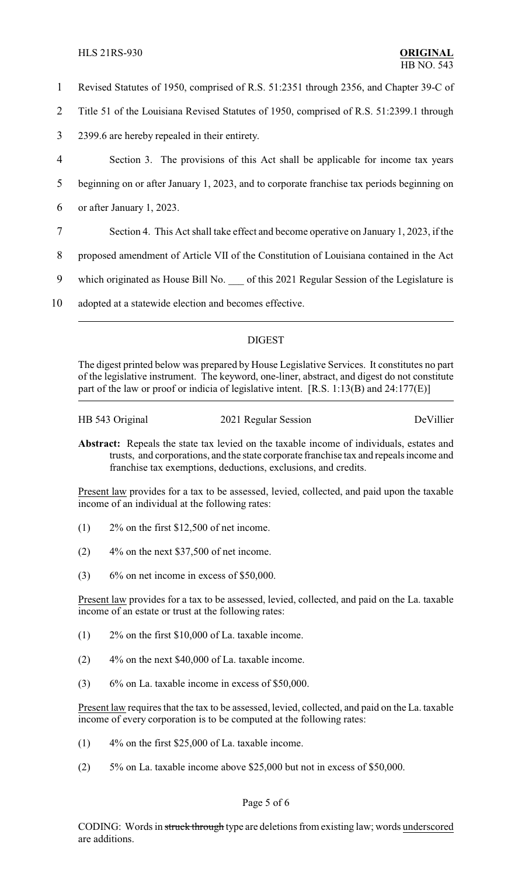## HLS 21RS-930 **ORIGINAL**

- 1 Revised Statutes of 1950, comprised of R.S. 51:2351 through 2356, and Chapter 39-C of
- 2 Title 51 of the Louisiana Revised Statutes of 1950, comprised of R.S. 51:2399.1 through
- 3 2399.6 are hereby repealed in their entirety.
- 4 Section 3. The provisions of this Act shall be applicable for income tax years

5 beginning on or after January 1, 2023, and to corporate franchise tax periods beginning on

- 6 or after January 1, 2023.
- 7 Section 4. This Act shall take effect and become operative on January 1, 2023, if the
- 8 proposed amendment of Article VII of the Constitution of Louisiana contained in the Act
- 9 which originated as House Bill No. of this 2021 Regular Session of the Legislature is
- 10 adopted at a statewide election and becomes effective.

# DIGEST

The digest printed below was prepared by House Legislative Services. It constitutes no part of the legislative instrument. The keyword, one-liner, abstract, and digest do not constitute part of the law or proof or indicia of legislative intent. [R.S. 1:13(B) and 24:177(E)]

HB 543 Original 2021 Regular Session DeVillier

**Abstract:** Repeals the state tax levied on the taxable income of individuals, estates and trusts, and corporations, and the state corporate franchise tax and repeals income and franchise tax exemptions, deductions, exclusions, and credits.

Present law provides for a tax to be assessed, levied, collected, and paid upon the taxable income of an individual at the following rates:

- (1) 2% on the first \$12,500 of net income.
- $(2)$  4\% on the next \$37,500 of net income.
- $(3)$  6% on net income in excess of \$50,000.

Present law provides for a tax to be assessed, levied, collected, and paid on the La. taxable income of an estate or trust at the following rates:

- (1) 2% on the first \$10,000 of La. taxable income.
- (2) 4% on the next \$40,000 of La. taxable income.
- (3) 6% on La. taxable income in excess of \$50,000.

Present law requires that the tax to be assessed, levied, collected, and paid on the La. taxable income of every corporation is to be computed at the following rates:

- (1) 4% on the first \$25,000 of La. taxable income.
- (2) 5% on La. taxable income above \$25,000 but not in excess of \$50,000.

## Page 5 of 6